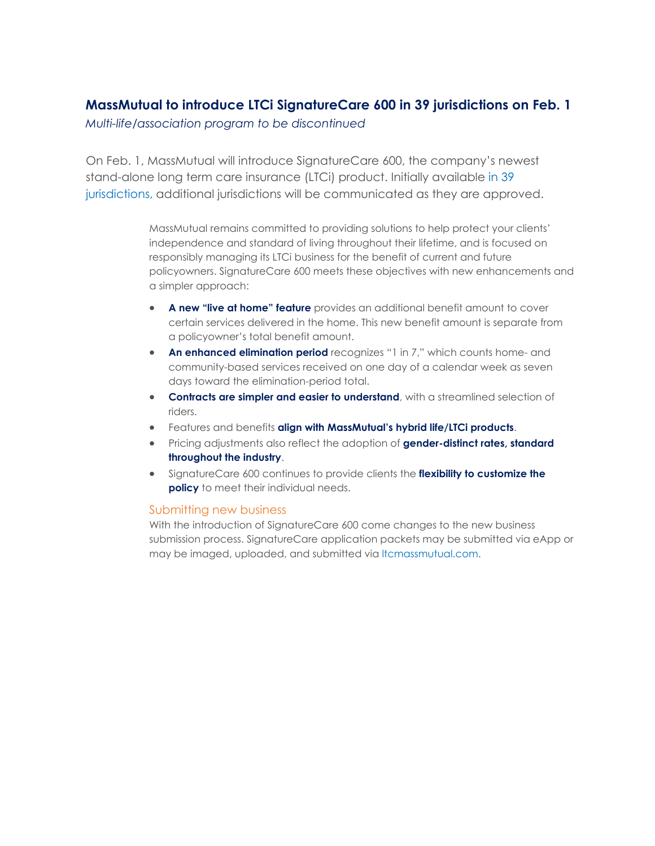# **MassMutual to introduce LTCi SignatureCare 600 in 39 jurisdictions on Feb. 1**

*Multi-life/association program to be discontinued*

On Feb. 1, MassMutual will introduce SignatureCare 600, the company's newest stand-alone long term care insurance (LTCi) product. Initially available [in 39](https://fieldnet.massmutual.com/public/ltc/pdfs/ltc1706e.pdf)  [jurisdictions,](https://fieldnet.massmutual.com/public/ltc/pdfs/ltc1706e.pdf) additional jurisdictions will be communicated as they are approved.

> MassMutual remains committed to providing solutions to help protect your clients' independence and standard of living throughout their lifetime, and is focused on responsibly managing its LTCi business for the benefit of current and future policyowners. SignatureCare 600 meets these objectives with new enhancements and a simpler approach:

- **A new "live at home" feature** provides an additional benefit amount to cover certain services delivered in the home. This new benefit amount is separate from a policyowner's total benefit amount.
- **An enhanced elimination period** recognizes "1 in 7," which counts home- and community-based services received on one day of a calendar week as seven days toward the elimination-period total.
- **Contracts are simpler and easier to understand**, with a streamlined selection of riders.
- Features and benefits **align with MassMutual's hybrid life/LTCi products**.
- Pricing adjustments also reflect the adoption of **gender-distinct rates, standard throughout the industry**.
- SignatureCare 600 continues to provide clients the **flexibility to customize the policy** to meet their individual needs.

## Submitting new business

With the introduction of SignatureCare 600 come changes to the new business submission process. SignatureCare application packets may be submitted via eApp or may be imaged, uploaded, and submitted via [ltcmassmutual.com.](https://www.ltcmassmutual.com/)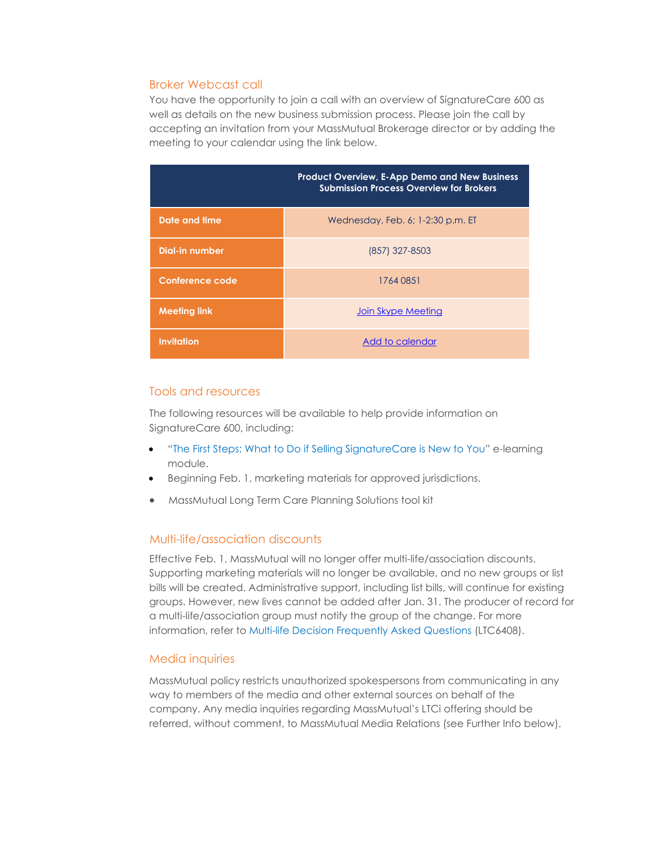### Broker Webcast call

You have the opportunity to join a call with an overview of SignatureCare 600 as well as details on the new business submission process. Please join the call by accepting an invitation from your MassMutual Brokerage director or by adding the meeting to your calendar using the link below.

|                     | <b>Product Overview, E-App Demo and New Business</b><br><b>Submission Process Overview for Brokers</b> |
|---------------------|--------------------------------------------------------------------------------------------------------|
| Date and time       | Wednesday, Feb. 6; 1-2:30 p.m. ET                                                                      |
| Dial-in number      | (857) 327-8503                                                                                         |
| Conference code     | 1764 0851                                                                                              |
| <b>Meeting link</b> | Join Skype Meeting                                                                                     |
| <b>Invitation</b>   | Add to calendar                                                                                        |

#### Tools and resources

The following resources will be available to help provide information on SignatureCare 600, including:

- "The First Steps: What to Do [if Selling SignatureCare is New to You"](http://a1027.g.akamai.net/f/1027/2744/1d/mass.download.akamai.com/2744/mmu_b/ltc/ltc309e1_21/story_html5.html) e-learning module.
- Beginning Feb. 1, marketing materials for approved jurisdictions.
- MassMutual Long Term Care Planning Solutions tool kit

## Multi-life/association discounts

Effective Feb. 1, MassMutual will no longer offer multi-life/association discounts. Supporting marketing materials will no longer be available, and no new groups or list bills will be created. Administrative support, including list bills, will continue for existing groups. However, new lives cannot be added after Jan. 31. The producer of record for a multi-life/association group must notify the group of the change. For more information, refer to [Multi-life Decision Frequently Asked Questions](https://fieldnet.massmutual.com/public/ltc/pdfs/ltc6408.pdf) (LTC6408).

#### Media inquiries

MassMutual policy restricts unauthorized spokespersons from communicating in any way to members of the media and other external sources on behalf of the company. Any media inquiries regarding MassMutual's LTCi offering should be referred, without comment, to MassMutual Media Relations (see Further Info below).